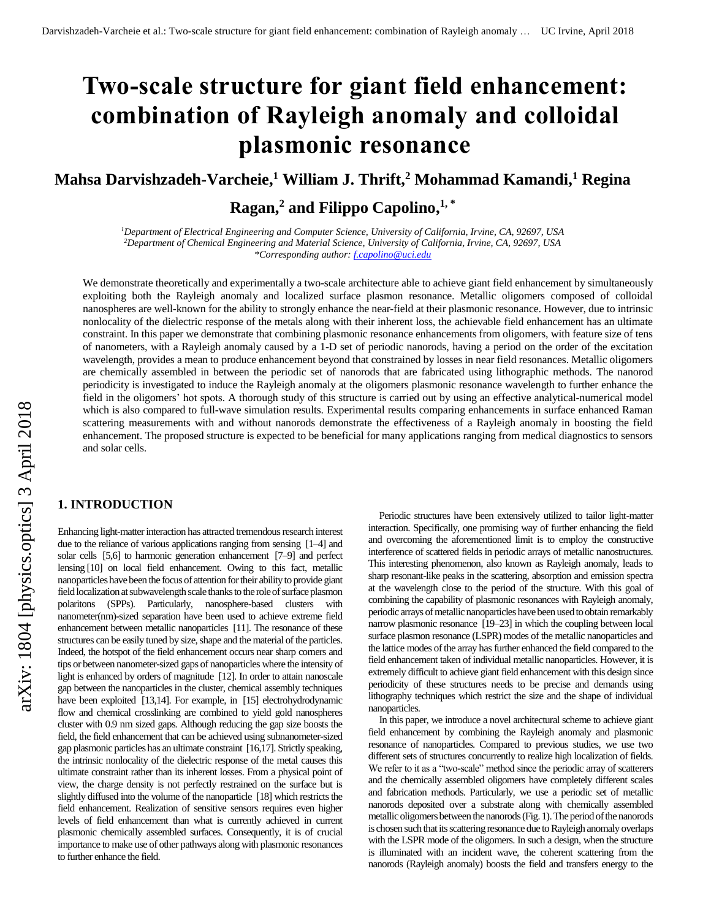# **Two-scale structure for giant field enhancement: combination of Rayleigh anomaly and colloidal plasmonic resonance**

# **Mahsa Darvishzadeh-Varcheie, <sup>1</sup> William J. Thrift,<sup>2</sup> Mohammad Kamandi, <sup>1</sup> Regina**

# **Ragan,<sup>2</sup> and Filippo Capolino, 1, \***

*<sup>1</sup>Department of Electrical Engineering and Computer Science, University of California, Irvine, CA, 92697, USA <sup>2</sup>Department of Chemical Engineering and Material Science, University of California, Irvine, CA, 92697, USA \*Corresponding author[: f.capolino@uci.edu](mailto:f.capolino@uci.edu)*

We demonstrate theoretically and experimentally a two-scale architecture able to achieve giant field enhancement by simultaneously exploiting both the Rayleigh anomaly and localized surface plasmon resonance. Metallic oligomers composed of colloidal nanospheres are well-known for the ability to strongly enhance the near-field at their plasmonic resonance. However, due to intrinsic nonlocality of the dielectric response of the metals along with their inherent loss, the achievable field enhancement has an ultimate constraint. In this paper we demonstrate that combining plasmonic resonance enhancements from oligomers, with feature size of tens of nanometers, with a Rayleigh anomaly caused by a 1-D set of periodic nanorods, having a period on the order of the excitation wavelength, provides a mean to produce enhancement beyond that constrained by losses in near field resonances. Metallic oligomers are chemically assembled in between the periodic set of nanorods that are fabricated using lithographic methods. The nanorod periodicity is investigated to induce the Rayleigh anomaly at the oligomers plasmonic resonance wavelength to further enhance the field in the oligomers' hot spots. A thorough study of this structure is carried out by using an effective analytical-numerical model which is also compared to full-wave simulation results. Experimental results comparing enhancements in surface enhanced Raman scattering measurements with and without nanorods demonstrate the effectiveness of a Rayleigh anomaly in boosting the field enhancement. The proposed structure is expected to be beneficial for many applications ranging from medical diagnostics to sensors and solar cells.

## **1. INTRODUCTION**

Enhancing light-matter interaction has attracted tremendous research interest due to the reliance of various applications ranging from sensing [1–4] and solar cells [5,6] to harmonic generation enhancement [7–9] and perfect lensing [10] on local field enhancement. Owing to this fact, metallic nanoparticles have been the focus of attention for their ability to provide giant field localization at subwavelength scale thanks to the role of surface plasmon polaritons (SPPs). Particularly, nanosphere-based clusters with nanometer(nm)-sized separation have been used to achieve extreme field enhancement between metallic nanoparticles [11]. The resonance of these structures can be easily tuned by size, shape and the material of the particles. Indeed, the hotspot of the field enhancement occurs near sharp corners and tips or between nanometer-sized gaps of nanoparticles where the intensity of light is enhanced by orders of magnitude [12]. In order to attain nanoscale gap between the nanoparticles in the cluster, chemical assembly techniques have been exploited [13,14]. For example, in [15] electrohydrodynamic flow and chemical crosslinking are combined to yield gold nanospheres cluster with 0.9 nm sized gaps. Although reducing the gap size boosts the field, the field enhancement that can be achieved using subnanometer-sized gap plasmonic particles has an ultimate constraint [16,17]. Strictly speaking, the intrinsic nonlocality of the dielectric response of the metal causes this ultimate constraint rather than its inherent losses. From a physical point of view, the charge density is not perfectly restrained on the surface but is slightly diffused into the volume of the nanoparticle [18] which restricts the field enhancement. Realization of sensitive sensors requires even higher levels of field enhancement than what is currently achieved in current plasmonic chemically assembled surfaces. Consequently, it is of crucial importance to make use of other pathways along with plasmonic resonances to further enhance the field.

Periodic structures have been extensively utilized to tailor light-matter interaction. Specifically, one promising way of further enhancing the field and overcoming the aforementioned limit is to employ the constructive interference of scattered fields in periodic arrays of metallic nanostructures. This interesting phenomenon, also known as Rayleigh anomaly, leads to sharp resonant-like peaks in the scattering, absorption and emission spectra at the wavelength close to the period of the structure. With this goal of combining the capability of plasmonic resonances with Rayleigh anomaly, periodic arrays of metallic nanoparticles have been used to obtain remarkably narrow plasmonic resonance [19–23] in which the coupling between local surface plasmon resonance (LSPR) modes of the metallic nanoparticles and the lattice modes of the array has further enhanced the field compared to the field enhancement taken of individual metallic nanoparticles. However, it is extremely difficult to achieve giant field enhancement with this design since periodicity of these structures needs to be precise and demands using lithography techniques which restrict the size and the shape of individual nanoparticles.

In this paper, we introduce a novel architectural scheme to achieve giant field enhancement by combining the Rayleigh anomaly and plasmonic resonance of nanoparticles. Compared to previous studies, we use two different sets of structures concurrently to realize high localization of fields. We refer to it as a "two-scale" method since the periodic array of scatterers and the chemically assembled oligomers have completely different scales and fabrication methods. Particularly, we use a periodic set of metallic nanorods deposited over a substrate along with chemically assembled metallic oligomers between the nanorods(Fig. 1). The period of the nanorods is chosen such that its scattering resonance due to Rayleigh anomaly overlaps with the LSPR mode of the oligomers. In such a design, when the structure is illuminated with an incident wave, the coherent scattering from the nanorods (Rayleigh anomaly) boosts the field and transfers energy to the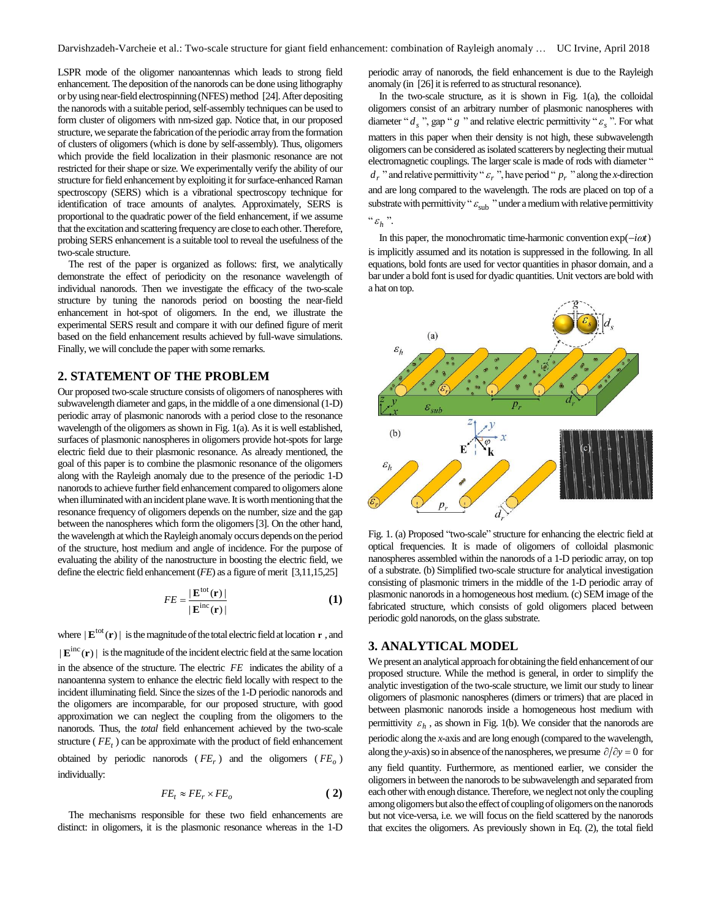LSPR mode of the oligomer nanoantennas which leads to strong field enhancement. The deposition of the nanorods can be done using lithography or by using near-field electrospinning (NFES) method [24]. After depositing the nanorods with a suitable period, self-assembly techniques can be used to form cluster of oligomers with nm-sized gap. Notice that, in our proposed structure, we separate the fabrication of the periodic array from the formation of clusters of oligomers (which is done by self-assembly). Thus, oligomers which provide the field localization in their plasmonic resonance are not restricted for their shape or size. We experimentally verify the ability of our structure for field enhancement by exploiting it for surface-enhanced Raman spectroscopy (SERS) which is a vibrational spectroscopy technique for identification of trace amounts of analytes. Approximately, SERS is proportional to the quadratic power of the field enhancement, if we assume that the excitation and scattering frequency are close to each other. Therefore, probing SERS enhancement is a suitable tool to reveal the usefulness of the two-scale structure.

The rest of the paper is organized as follows: first, we analytically demonstrate the effect of periodicity on the resonance wavelength of individual nanorods. Then we investigate the efficacy of the two-scale structure by tuning the nanorods period on boosting the near-field enhancement in hot-spot of oligomers. In the end, we illustrate the experimental SERS result and compare it with our defined figure of merit based on the field enhancement results achieved by full-wave simulations. Finally, we will conclude the paper with some remarks.

## **2. STATEMENT OF THE PROBLEM**

Our proposed two-scale structure consists of oligomers of nanospheres with subwavelength diameter and gaps, in the middle of a one dimensional (1-D) periodic array of plasmonic nanorods with a period close to the resonance wavelength of the oligomers as shown in Fig. 1(a). As it is well established, surfaces of plasmonic nanospheres in oligomers provide hot-spots for large electric field due to their plasmonic resonance. As already mentioned, the goal of this paper is to combine the plasmonic resonance of the oligomers along with the Rayleigh anomaly due to the presence of the periodic 1-D nanorods to achieve further field enhancement compared to oligomers alone when illuminated with an incident plane wave. It is worth mentioning that the resonance frequency of oligomers depends on the number, size and the gap between the nanospheres which form the oligomers[3]. On the other hand, the wavelength at which the Rayleigh anomaly occurs depends on the period of the structure, host medium and angle of incidence. For the purpose of evaluating the ability of the nanostructure in boosting the electric field, we define the electric field enhancement (*FE*) as a figure of merit [3,11,15,25]

$$
FE = \frac{|\mathbf{E}^{\text{tot}}(\mathbf{r})|}{|\mathbf{E}^{\text{inc}}(\mathbf{r})|}
$$
 (1)

where  $|\mathbf{E}^{\text{tot}}(\mathbf{r})|$  is the magnitude of the total electric field at location  $\mathbf{r}$ , and  $|\mathbf{E}^{\text{inc}}(\mathbf{r})|$  is the magnitude of the incident electric field at the same location in the absence of the structure. The electric *FE* indicates the ability of a nanoantenna system to enhance the electric field locally with respect to the incident illuminating field. Since the sizes of the 1-D periodic nanorods and the oligomers are incomparable, for our proposed structure, with good approximation we can neglect the coupling from the oligomers to the nanorods. Thus, the *total* field enhancement achieved by the two-scale structure ( *FE<sup>t</sup>* ) can be approximate with the product of field enhancement obtained by periodic nanorods ( *FE<sup>r</sup>* ) and the oligomers ( *FE<sup>o</sup>* ) individually:

$$
FE_t \approx FE_r \times FE_o \tag{2}
$$

The mechanisms responsible for these two field enhancements are distinct: in oligomers, it is the plasmonic resonance whereas in the 1-D

periodic array of nanorods, the field enhancement is due to the Rayleigh anomaly (in [26] it is referred to as structural resonance).

In the two-scale structure, as it is shown in Fig. 1(a), the colloidal oligomers consist of an arbitrary number of plasmonic nanospheres with diameter " $d_s$ ", gap "  $g$ " and relative electric permittivity " $\varepsilon_s$ ". For what matters in this paper when their density is not high, these subwavelength oligomers can be considered as isolated scatterers by neglecting their mutual electromagnetic couplings. The larger scale is made of rods with diameter "  $d_r$  " and relative permittivity "  $\varepsilon_r$  ", have period "  $p_r$  " along the *x*-direction and are long compared to the wavelength. The rods are placed on top of a substrate with permittivity " $\varepsilon_{\rm sub}$ " under a medium with relative permittivity " $\varepsilon$ <sub>h</sub>".

In this paper, the monochromatic time-harmonic convention  $exp(-i\omega t)$ is implicitly assumed and its notation is suppressed in the following. In all equations, bold fonts are used for vector quantities in phasor domain, and a bar under a bold font is used for dyadic quantities. Unit vectors are bold with a hat on top.



Fig. 1. (a) Proposed "two-scale" structure for enhancing the electric field at optical frequencies. It is made of oligomers of colloidal plasmonic nanospheres assembled within the nanorods of a 1-D periodic array, on top of a substrate. (b) Simplified two-scale structure for analytical investigation consisting of plasmonic trimers in the middle of the 1-D periodic array of plasmonic nanorods in a homogeneous host medium. (c) SEM image of the fabricated structure, which consists of gold oligomers placed between periodic gold nanorods, on the glass substrate.

#### **3. ANALYTICAL MODEL**

We present an analytical approach for obtaining the field enhancement of our proposed structure. While the method is general, in order to simplify the analytic investigation of the two-scale structure, we limit our study to linear oligomers of plasmonic nanospheres (dimers or trimers) that are placed in between plasmonic nanorods inside a homogeneous host medium with permittivity  $\varepsilon_h$ , as shown in Fig. 1(b). We consider that the nanorods are periodic along the *x*-axis and are long enough (compared to the wavelength, along the *y*-axis) so in absence of the nanospheres, we presume  $\partial/\partial y = 0$  for any field quantity. Furthermore, as mentioned earlier, we consider the oligomersin between the nanorods to be subwavelength and separated from each other with enough distance. Therefore, we neglect not only the coupling among oligomers but also the effect of coupling of oligomers on the nanorods but not vice-versa, i.e. we will focus on the field scattered by the nanorods that excites the oligomers. As previously shown in Eq. (2), the total field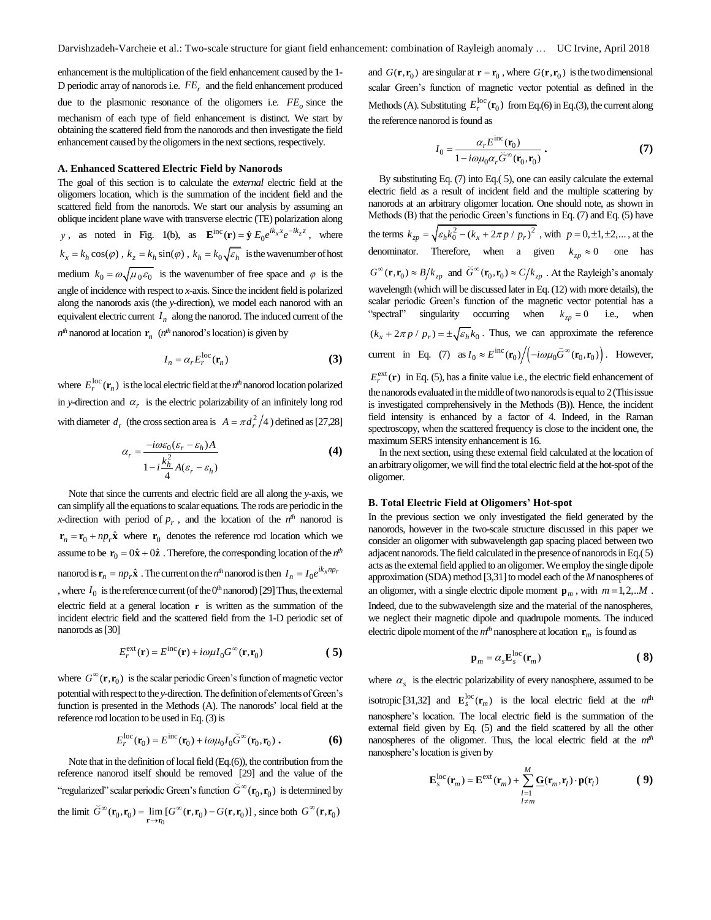enhancement is the multiplication of the field enhancement caused by the 1- D periodic array of nanorods i.e.  $FE$ <sub>*r*</sub> and the field enhancement produced

due to the plasmonic resonance of the oligomers i.e. *FE<sup>o</sup>* since the mechanism of each type of field enhancement is distinct. We start by obtaining the scattered field from the nanorods and then investigate the field enhancement caused by the oligomers in the next sections, respectively.

#### **A. Enhanced Scattered Electric Field by Nanorods**

The goal of this section is to calculate the *external* electric field at the oligomers location, which is the summation of the incident field and the scattered field from the nanorods. We start our analysis by assuming an oblique incident plane wave with transverse electric (TE) polarization along *y*, as noted in Fig. 1(b), as  $\mathbf{E}^{\text{inc}}(\mathbf{r}) = \hat{\mathbf{y}} E_0 e^{ik_x x} e^{-ik_z z}$ , where  $k_x = k_h \cos(\varphi)$ ,  $k_z = k_h \sin(\varphi)$ ,  $k_h = k_0 \sqrt{\varepsilon_h}$  is the wavenumber of host medium  $k_0 = \omega \sqrt{\mu_0 \varepsilon_0}$  is the wavenumber of free space and  $\varphi$  is the angle of incidence with respect to *x*-axis. Since the incident field is polarized along the nanorods axis (the *y*-direction), we model each nanorod with an equivalent electric current  $I_n$  along the nanorod. The induced current of the  $n<sup>th</sup>$  nanorod at location  $\mathbf{r}_n$  ( $n<sup>th</sup>$  nanorod's location) is given by

$$
I_n = \alpha_r E_r^{\text{loc}}(\mathbf{r}_n)
$$
 (3)

where  $E_r^{\text{loc}}(\mathbf{r}_n)$  is the local electric field at the  $n^{\text{th}}$  nanorod location polarized in *y*-direction and  $\alpha_r$  is the electric polarizability of an infinitely long rod with diameter  $d_r$  (the cross section area is  $A = \pi d_r^2/4$ ) defined as [27,28]

$$
\alpha_r = \frac{-i\omega\varepsilon_0(\varepsilon_r - \varepsilon_h)A}{1 - i\frac{k_h^2}{4}A(\varepsilon_r - \varepsilon_h)}
$$
(4)

Note that since the currents and electric field are all along the *y*-axis, we can simplify all the equations to scalar equations*.*The rods are periodic in the *x*-direction with period of  $p_r$ , and the location of the  $n^{th}$  nanorod is  $\mathbf{r}_n = \mathbf{r}_0 + np_r \hat{\mathbf{x}}$  where  $\mathbf{r}_0$  denotes the reference rod location which we assume to be  $\mathbf{r}_0 = 0\hat{\mathbf{x}} + 0\hat{\mathbf{z}}$ . Therefore, the corresponding location of the  $n^{th}$ nanorod is  $\mathbf{r}_n = np_r \hat{\mathbf{x}}$ . The current on the *n<sup>th</sup>* nanorod is then  $I_n = I_0 e^{ik_x np_r}$ , where  $I_0$  is the reference current (of the  $0<sup>th</sup>$  nanorod) [29] Thus, the external electric field at a general location **r** is written as the summation of the incident electric field and the scattered field from the 1-D periodic set of nanorods as[30]

$$
E_r^{\text{ext}}(\mathbf{r}) = E^{\text{inc}}(\mathbf{r}) + i\omega\mu I_0 G^\infty(\mathbf{r}, \mathbf{r}_0)
$$
 (5)

where  $G^{\infty}(\mathbf{r}, \mathbf{r}_0)$  is the scalar periodic Green's function of magnetic vector potential with respect tothe *y*-direction. The definition of elements of Green's function is presented in the Methods (A). The nanorods' local field at the reference rod location to be used in Eq. (3) is

$$
E_r^{\text{loc}}(\mathbf{r}_0) = E^{\text{inc}}(\mathbf{r}_0) + i\omega\mu_0 I_0 \tilde{G}^{\infty}(\mathbf{r}_0, \mathbf{r}_0).
$$
 (6)

Note that in the definition of local field (Eq.(6)), the contribution from the reference nanorod itself should be removed [29] and the value of the "regularized" scalar periodic Green's function  $\check{G}^{\infty}(\mathbf{r}_0, \mathbf{r}_0)$  is determined by the limit  $\check{G}^{\infty}(\mathbf{r}_0, \mathbf{r}_0) = \lim_{\mathbf{r} \to \mathbf{r}_0} [G^{\infty}(\mathbf{r}, \mathbf{r}_0) - G(\mathbf{r}, \mathbf{r}_0)]$  $=\lim_{\mathbf{r}\to\mathbf{r}_0} [G^{\infty}(\mathbf{r}, \mathbf{r}_0) - G(\mathbf{r}, \mathbf{r}_0)]$ , since both  $G^{\infty}(\mathbf{r}, \mathbf{r}_0)$ 

and  $G(\mathbf{r}, \mathbf{r}_0)$  are singular at  $\mathbf{r} = \mathbf{r}_0$ , where  $G(\mathbf{r}, \mathbf{r}_0)$  is the two dimensional scalar Green's function of magnetic vector potential as defined in the Methods (A). Substituting  $E_r^{\text{loc}}(\mathbf{r}_0)$  from Eq.(6) in Eq.(3), the current along the reference nanorod is found as

$$
I_0 = \frac{\alpha_r E^{\rm inc}(\mathbf{r}_0)}{1 - i\omega\mu_0 \alpha_r \tilde{G}^\infty(\mathbf{r}_0, \mathbf{r}_0)}.
$$
(7)

By substituting Eq. (7) into Eq.( 5), one can easily calculate the external electric field as a result of incident field and the multiple scattering by nanorods at an arbitrary oligomer location. One should note, as shown in Methods (B) that the periodic Green's functions in Eq. (7) and Eq. (5) have the terms  $k_{zp} = \sqrt{\varepsilon_h k_0^2 - (k_x + 2\pi p / p_r)^2}$ , with  $p = 0, \pm 1, \pm 2, ...$ , at the denominator. Therefore, when a given  $k_{zp} \approx 0$  one has  $G^{\infty}(\mathbf{r}, \mathbf{r}_0) \approx B/k_{zp}$  and  $\tilde{G}^{\infty}(\mathbf{r}_0, \mathbf{r}_0) \approx C/k_{zp}$ . At the Rayleigh's anomaly wavelength (which will be discussed later in Eq. (12) with more details), the scalar periodic Green's function of the magnetic vector potential has a "spectral" singularity occurring when  $k_{zp} = 0$  i.e., when  $(k_x + 2\pi p / p_r) = \pm \sqrt{\epsilon_h} k_0$ . Thus, we can approximate the reference current in Eq. (7) as  $I_0 \approx E^{\rm inc}(\mathbf{r}_0) / \left( -i\omega\mu_0 \breve{G}^{\infty}(\mathbf{r}_0, \mathbf{r}_0) \right)$ . However,  $E_r^{\text{ext}}(\mathbf{r})$  in Eq. (5), has a finite value i.e., the electric field enhancement of the nanorods evaluated in the middle of two nanorods is equal to 2 (This issue is investigated comprehensively in the Methods (B)). Hence, the incident field intensity is enhanced by a factor of 4. Indeed, in the Raman spectroscopy, when the scattered frequency is close to the incident one, the

In the next section, using these external field calculated at the location of an arbitrary oligomer, we will find the total electric field at the hot-spot of the oligomer.

#### **B. Total Electric Field at Oligomers' Hot-spot**

maximum SERS intensity enhancement is 16.

In the previous section we only investigated the field generated by the nanorods, however in the two-scale structure discussed in this paper we consider an oligomer with subwavelength gap spacing placed between two adjacent nanorods.The field calculated in the presence of nanorods in Eq.( 5) acts as the external field applied to an oligomer. We employ the single dipole approximation (SDA) method [3,31] to model each of the *M* nanospheres of an oligomer, with a single electric dipole moment  $\mathbf{p}_m$ , with  $m = 1, 2, \dots M$ . Indeed, due to the subwavelength size and the material of the nanospheres, we neglect their magnetic dipole and quadrupole moments. The induced electric dipole moment of the  $m<sup>th</sup>$  nanosphere at location  $\mathbf{r}_m$  is found as

$$
\mathbf{p}_m = \alpha_s \mathbf{E}_s^{\text{loc}}(\mathbf{r}_m)
$$
 (8)

where  $\alpha_s$  is the electric polarizability of every nanosphere, assumed to be

isotropic [31,32] and  $\mathbf{E}_s^{\text{loc}}(\mathbf{r}_m)$  is the local electric field at the  $m^{\text{th}}$ nanosphere's location. The local electric field is the summation of the external field given by Eq. (5) and the field scattered by all the other nanospheres of the oligomer. Thus, the local electric field at the *mth* nanosphere's location is given by

$$
\mathbf{E}_s^{\text{loc}}(\mathbf{r}_m) = \mathbf{E}^{\text{ext}}(\mathbf{r}_m) + \sum_{\substack{l=1 \ l \neq m}}^M \mathbf{G}(\mathbf{r}_m, \mathbf{r}_l) \cdot \mathbf{p}(\mathbf{r}_l)
$$
(9)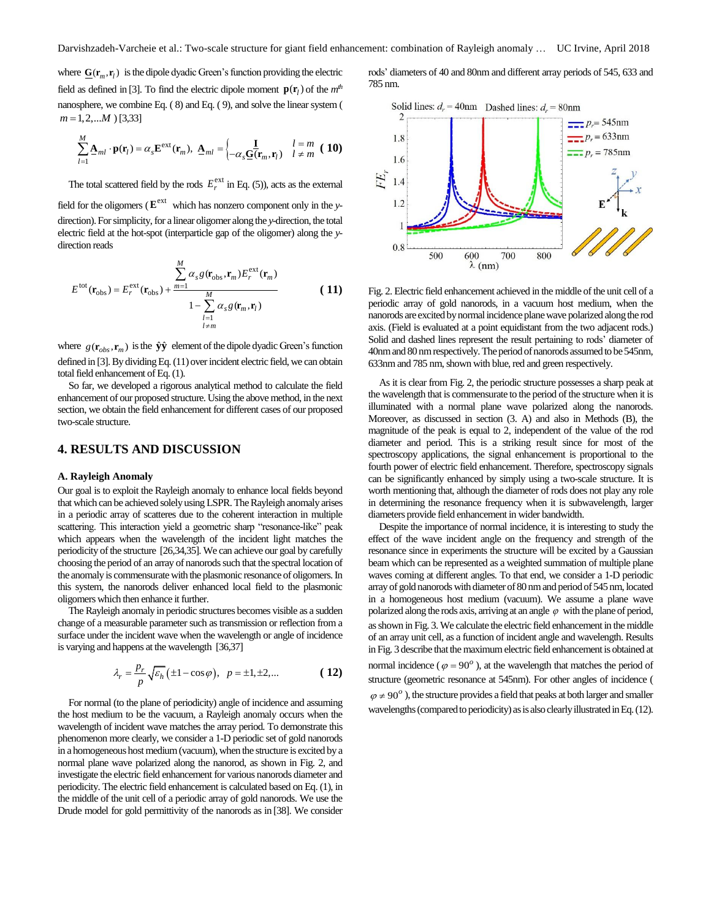where  $\underline{G}(\mathbf{r}_m, \mathbf{r}_l)$  is the dipole dyadic Green's function providing the electric field as defined in [3]. To find the electric dipole moment  $\mathbf{p}(\mathbf{r}_l)$  of the  $m^{th}$ nanosphere, we combine Eq. ( 8) and Eq. ( 9), and solve the linear system (  $m = 1, 2, \dots M$  ) [3,33]

$$
\sum_{l=1}^{M} \underline{\mathbf{A}}_{ml} \cdot \mathbf{p}(\mathbf{r}_l) = \alpha_s \mathbf{E}^{\text{ext}}(\mathbf{r}_m), \ \underline{\mathbf{A}}_{ml} = \begin{cases} \underline{\mathbf{I}} & l = m \\ -\alpha_s \underline{\mathbf{G}}(\mathbf{r}_m, \mathbf{r}_l) & l \neq m \end{cases}
$$
 (10)

The total scattered field by the rods  $E_r^{\text{ext}}$  in Eq. (5)), acts as the external

field for the oligomers ( $E^{\text{ext}}$  which has nonzero component only in the *y*direction). For simplicity, for a linear oligomer along the *y*-direction, the total electric field at the hot-spot (interparticle gap of the oligomer) along the *y*direction reads

$$
E^{\text{tot}}(\mathbf{r}_{\text{obs}}) = E_r^{\text{ext}}(\mathbf{r}_{\text{obs}}) + \frac{\sum_{m=1}^{M} \alpha_s g(\mathbf{r}_{\text{obs}}, \mathbf{r}_m) E_r^{\text{ext}}(\mathbf{r}_m)}{1 - \sum_{\substack{l=1 \ l \neq m}}^{M} \alpha_s g(\mathbf{r}_m, \mathbf{r}_l)}
$$
(11)

where  $g(\mathbf{r}_{obs}, \mathbf{r}_m)$  is the  $\hat{\mathbf{y}}\hat{\mathbf{y}}$  element of the dipole dyadic Green's function defined in [3]. By dividing Eq. (11) over incident electric field, we can obtain total field enhancement of Eq. (1).

So far, we developed a rigorous analytical method to calculate the field enhancement of our proposed structure. Using the above method, in the next section, we obtain the field enhancement for different cases of our proposed two-scale structure.

# **4. RESULTS AND DISCUSSION**

#### **A. Rayleigh Anomaly**

Our goal is to exploit the Rayleigh anomaly to enhance local fields beyond that which can be achieved solely using LSPR. The Rayleigh anomaly arises in a periodic array of scatteres due to the coherent interaction in multiple scattering. This interaction yield a geometric sharp "resonance-like" peak which appears when the wavelength of the incident light matches the periodicity of the structure [26,34,35]. We can achieve our goal by carefully choosing the period of an array of nanorods such that the spectral location of the anomaly is commensurate with the plasmonic resonance of oligomers. In this system, the nanorods deliver enhanced local field to the plasmonic oligomers which then enhance it further.

The Rayleigh anomaly in periodic structures becomes visible as a sudden change of a measurable parameter such as transmission or reflection from a surface under the incident wave when the wavelength or angle of incidence is varying and happens at the wavelength [36,37]

$$
\lambda_r = \frac{p_r}{p} \sqrt{\varepsilon_h} \left( \pm 1 - \cos \varphi \right), \quad p = \pm 1, \pm 2, \dots \tag{12}
$$

For normal (to the plane of periodicity) angle of incidence and assuming the host medium to be the vacuum, a Rayleigh anomaly occurs when the wavelength of incident wave matches the array period. To demonstrate this phenomenon more clearly, we consider a 1-D periodic set of gold nanorods in a homogeneous host medium (vacuum), when the structure is excited by a normal plane wave polarized along the nanorod, as shown in Fig. 2, and investigate the electric field enhancement for various nanorods diameter and periodicity. The electric field enhancement is calculated based on Eq. (1), in the middle of the unit cell of a periodic array of gold nanorods. We use the Drude model for gold permittivity of the nanorods as in [38]. We consider rods' diameters of 40 and 80nm and different array periods of 545, 633 and 785 nm.



Fig. 2. Electric field enhancement achieved in the middle of the unit cell of a periodic array of gold nanorods, in a vacuum host medium, when the nanorods are excited by normal incidence plane wave polarized along the rod axis. (Field is evaluated at a point equidistant from the two adjacent rods.) Solid and dashed lines represent the result pertaining to rods' diameter of 40nm and 80 nm respectively. The period of nanorods assumed to be 545nm, 633nm and 785 nm, shown with blue, red and green respectively.

As it is clear from Fig. 2, the periodic structure possesses a sharp peak at the wavelength that is commensurate to the period of the structure when it is illuminated with a normal plane wave polarized along the nanorods. Moreover, as discussed in section (3. A) and also in Methods (B), the magnitude of the peak is equal to 2, independent of the value of the rod diameter and period. This is a striking result since for most of the spectroscopy applications, the signal enhancement is proportional to the fourth power of electric field enhancement. Therefore, spectroscopy signals can be significantly enhanced by simply using a two-scale structure. It is worth mentioning that, although the diameter of rods does not play any role in determining the resonance frequency when it is subwavelength, larger diameters provide field enhancement in wider bandwidth.

Despite the importance of normal incidence, it is interesting to study the effect of the wave incident angle on the frequency and strength of the resonance since in experiments the structure will be excited by a Gaussian beam which can be represented as a weighted summation of multiple plane waves coming at different angles. To that end, we consider a 1-D periodic array of gold nanorods with diameter of 80 nm and period of 545 nm, located in a homogeneous host medium (vacuum). We assume a plane wave polarized along the rods axis, arriving at an angle  $\varphi$  with the plane of period, as shown in Fig. 3. We calculate the electric field enhancement in the middle of an array unit cell, as a function of incident angle and wavelength. Results in Fig. 3 describe that the maximum electric field enhancement is obtained at normal incidence ( $\varphi = 90^\circ$ ), at the wavelength that matches the period of structure (geometric resonance at 545nm). For other angles of incidence (  $\varphi \neq 90^\circ$ ), the structure provides a field that peaks at both larger and smaller wavelengths (compared to periodicity) as is also clearly illustrated in Eq. (12).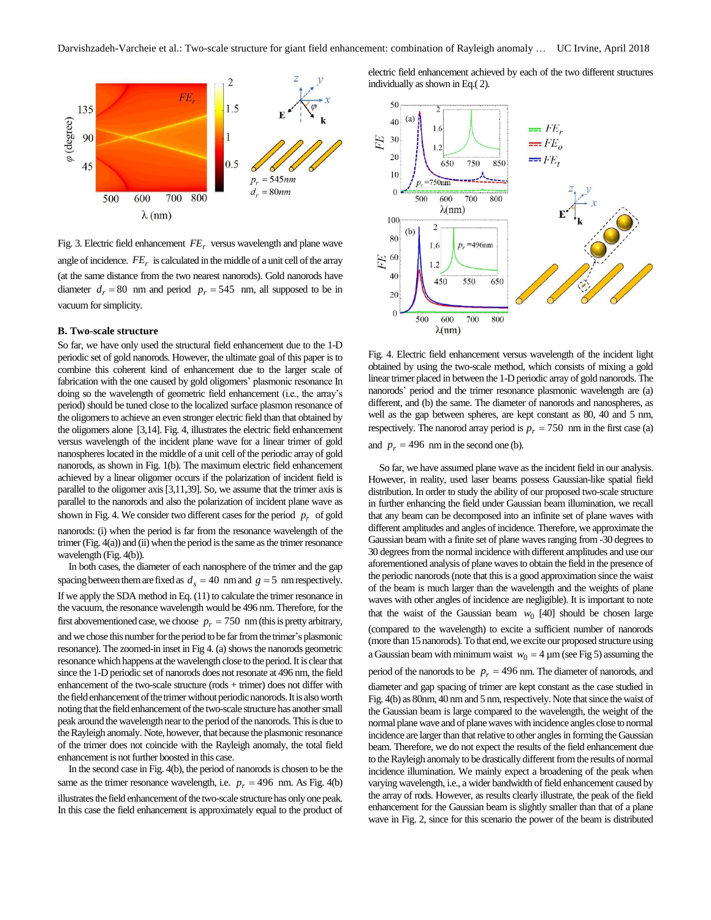

Fig. 3. Electric field enhancement *FE<sup>r</sup>* versus wavelength and plane wave angle of incidence.  $FE_r$  is calculated in the middle of a unit cell of the array (at the same distance from the two nearest nanorods). Gold nanorods have diameter  $d_r = 80$  nm and period  $p_r = 545$  nm, all supposed to be in vacuum for simplicity.

#### **B. Two-scale structure**

So far, we have only used the structural field enhancement due to the 1-D periodic set of gold nanorods. However, the ultimate goal of this paper is to combine this coherent kind of enhancement due to the larger scale of fabrication with the one caused by gold oligomers' plasmonic resonance In doing so the wavelength of geometric field enhancement (i.e., the array's period) should be tuned close to the localized surface plasmon resonance of the oligomers to achieve an even stronger electric field than that obtained by the oligomers alone [3,14]. Fig. 4, illustrates the electric field enhancement versus wavelength of the incident plane wave for a linear trimer of gold nanospheres located in the middle of a unit cell of the periodic array of gold nanorods, as shown in Fig. 1(b). The maximum electric field enhancement achieved by a linear oligomer occurs if the polarization of incident field is parallel to the oligomer axis[3,11,39]. So, we assume that the trimer axis is parallel to the nanorods and also the polarization of incident plane wave as shown in Fig. 4. We consider two different cases for the period  $p_r$  of gold nanorods: (i) when the period is far from the resonance wavelength of the trimer (Fig. 4(a)) and (ii) when the period is the same as the trimer resonance wavelength (Fig. 4(b)).

In both cases, the diameter of each nanosphere of the trimer and the gap spacing between them are fixed as  $d_s = 40$  nm and  $g = 5$  nm respectively. If we apply the SDA method in Eq. (11) to calculate the trimer resonance in the vacuum, the resonance wavelength would be 496 nm. Therefore, for the first abovementioned case, we choose  $p_r = 750 \text{ nm}$  (this is pretty arbitrary, and we chose this number for the period to be far from the trimer's plasmonic resonance). The zoomed-in inset in Fig 4. (a) shows the nanorods geometric resonance which happens at the wavelength close to the period. It is clear that since the 1-D periodic set of nanorods does not resonate at 496 nm, the field enhancement of the two-scale structure  $(rods + timer)$  does not differ with the field enhancement of the trimer without periodic nanorods. It is also worth noting that the field enhancement of the two-scale structure has another small peak around the wavelength nearto the period of the nanorods. This is due to the Rayleigh anomaly. Note, however, that because the plasmonic resonance of the trimer does not coincide with the Rayleigh anomaly, the total field enhancement is not further boosted in this case.

In the second case in Fig. 4(b), the period of nanorods is chosen to be the same as the trimer resonance wavelength, i.e.  $p_r = 496$  nm. As Fig. 4(b) illustrates the field enhancement of the two-scale structurehas only one peak. In this case the field enhancement is approximately equal to the product of

electric field enhancement achieved by each of the two different structures individually as shown in Eq.( 2).



Fig. 4. Electric field enhancement versus wavelength of the incident light obtained by using the two-scale method, which consists of mixing a gold linear trimer placed in between the 1-D periodic array of gold nanorods. The nanorods' period and the trimer resonance plasmonic wavelength are (a) different, and (b) the same. The diameter of nanorods and nanospheres, as well as the gap between spheres, are kept constant as 80, 40 and 5 nm, respectively. The nanorod array period is  $p_r = 750$  *nm in the first case (a)* 

and  $p_r = 496$  nm in the second one (b).

So far, we have assumed plane wave as the incident field in our analysis. However, in reality, used laser beams possess Gaussian-like spatial field distribution. In order to study the ability of our proposed two-scale structure in further enhancing the field under Gaussian beam illumination, we recall that any beam can be decomposed into an infinite set of plane waves with different amplitudes and angles of incidence. Therefore, we approximate the Gaussian beam with a finite set of plane waves ranging from -30 degrees to 30 degrees from the normal incidence with different amplitudes and use our aforementioned analysis of plane waves to obtain the field in the presence of the periodic nanorods(note that this is a good approximation since the waist of the beam is much larger than the wavelength and the weights of plane waves with other angles of incidence are negligible). It is important to note that the waist of the Gaussian beam  $w_0$  [40] should be chosen large (compared to the wavelength) to excite a sufficient number of nanorods (more than 15 nanorods). To that end, we excite our proposed structure using a Gaussian beam with minimum waist  $w_0 = 4 \mu m$  (see Fig 5) assuming the period of the nanorods to be  $p_r = 496$  nm. The diameter of nanorods, and diameter and gap spacing of trimer are kept constant as the case studied in Fig. 4(b) as 80nm, 40 nm and 5 nm, respectively. Note that since the waist of the Gaussian beam is large compared to the wavelength, the weight of the normal plane wave and of plane waves with incidence angles close to normal incidence are larger than that relative to other angles in forming the Gaussian beam. Therefore, we do not expect the results of the field enhancement due to the Rayleigh anomaly to be drastically different from the results of normal

incidence illumination. We mainly expect a broadening of the peak when varying wavelength, i.e., a wider bandwidth of field enhancement caused by the array of rods. However, as results clearly illustrate, the peak of the field enhancement for the Gaussian beam is slightly smaller than that of a plane wave in Fig. 2, since for this scenario the power of the beam is distributed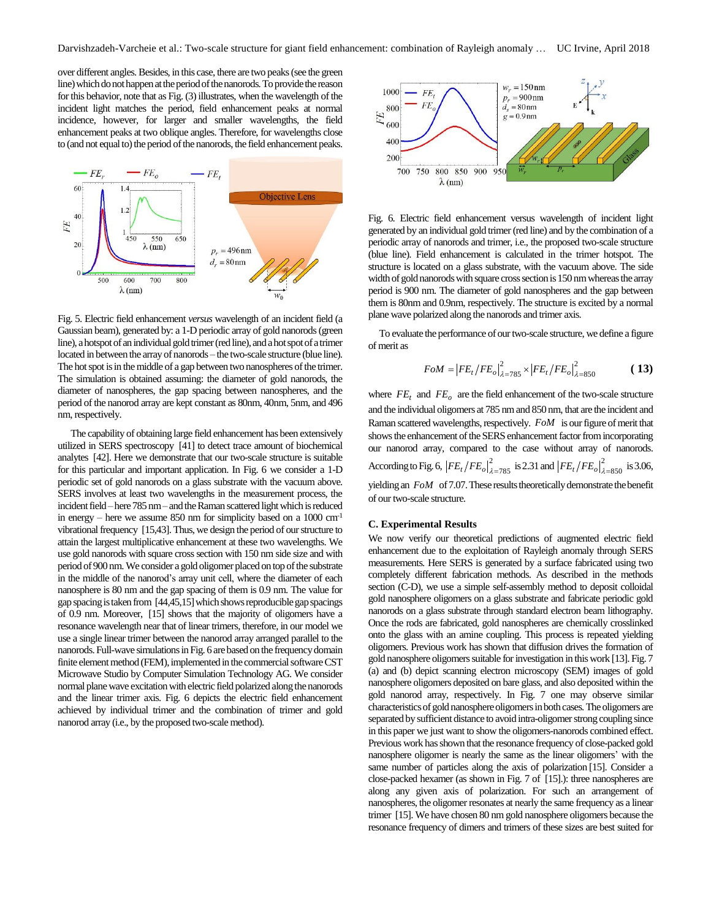over different angles.Besides, in this case, there are two peaks(see the green line) which do not happen at the period of the nanorods. To provide the reason for this behavior, note that as Fig. (3) illustrates, when the wavelength of the incident light matches the period, field enhancement peaks at normal incidence, however, for larger and smaller wavelengths, the field enhancement peaks at two oblique angles. Therefore, for wavelengths close to (and not equal to) the period of the nanorods, the field enhancement peaks.



Fig. 5. Electric field enhancement *versus* wavelength of an incident field (a Gaussian beam), generated by: a 1-D periodic array of gold nanorods(green line), a hotspot of an individual gold trimer (red line), and a hot spot of a trimer located in between the array of nanorods – the two-scale structure (blue line). The hot spot is in the middle of a gap between two nanospheres of the trimer. The simulation is obtained assuming: the diameter of gold nanorods, the diameter of nanospheres, the gap spacing between nanospheres, and the period of the nanorod array are kept constant as 80nm, 40nm, 5nm, and 496 nm, respectively.

The capability of obtaining large field enhancement has been extensively utilized in SERS spectroscopy [41] to detect trace amount of biochemical analytes [42]. Here we demonstrate that our two-scale structure is suitable for this particular and important application. In Fig. 6 we consider a 1-D periodic set of gold nanorods on a glass substrate with the vacuum above. SERS involves at least two wavelengths in the measurement process, the incident field –here 785 nm – and the Raman scattered light which is reduced in energy – here we assume 850 nm for simplicity based on a  $1000 \text{ cm}^{-1}$ vibrational frequency [15,43]. Thus, we design the period of our structure to attain the largest multiplicative enhancement at these two wavelengths. We use gold nanorods with square cross section with 150 nm side size and with period of 900 nm. We consider a gold oligomer placed on top of the substrate in the middle of the nanorod's array unit cell, where the diameter of each nanosphere is 80 nm and the gap spacing of them is 0.9 nm. The value for gap spacing istaken from [44,45,15]which shows reproducible gap spacings of 0.9 nm. Moreover, [15] shows that the majority of oligomers have a resonance wavelength near that of linear trimers, therefore, in our model we use a single linear trimer between the nanorod array arranged parallel to the nanorods. Full-wave simulations in Fig. 6 are based on the frequency domain finite element method (FEM), implemented in the commercial software CST Microwave Studio by Computer Simulation Technology AG. We consider normal plane wave excitation with electric field polarized along the nanorods and the linear trimer axis. Fig. 6 depicts the electric field enhancement achieved by individual trimer and the combination of trimer and gold nanorod array (i.e., by the proposed two-scale method).



Fig. 6. Electric field enhancement versus wavelength of incident light generated by an individual gold trimer (red line) and by the combination of a periodic array of nanorods and trimer, i.e., the proposed two-scale structure (blue line). Field enhancement is calculated in the trimer hotspot. The structure is located on a glass substrate, with the vacuum above. The side width of gold nanorods with square cross section is 150 nm whereas the array period is 900 nm. The diameter of gold nanospheres and the gap between them is 80nm and 0.9nm, respectively. The structure is excited by a normal plane wave polarized along the nanorods and trimer axis.

To evaluate the performance of our two-scale structure, we define a figure of merit as

$$
FoM = |FE_t/FE_o|_{\lambda = 785}^2 \times |FE_t/FE_o|_{\lambda = 850}^2
$$
 (13)

where  $FE_t$  and  $FE_o$  are the field enhancement of the two-scale structure and the individual oligomers at 785 nm and 850 nm, that are the incident and Raman scattered wavelengths, respectively. *FoM* is our figure of merit that shows the enhancement of the SERS enhancement factor from incorporating our nanorod array, compared to the case without array of nanorods. According to Fig. 6,  $|FE_t/FE_o|_{\lambda=785}^2$  is 2.31 and  $|FE_t/FE_o|_{\lambda=850}^2$  is 3.06, yielding an *FoM* of 7.07. These results theoretically demonstrate the benefit of our two-scale structure.

#### **C. Experimental Results**

We now verify our theoretical predictions of augmented electric field enhancement due to the exploitation of Rayleigh anomaly through SERS measurements. Here SERS is generated by a surface fabricated using two completely different fabrication methods. As described in the methods section (C-D), we use a simple self-assembly method to deposit colloidal gold nanosphere oligomers on a glass substrate and fabricate periodic gold nanorods on a glass substrate through standard electron beam lithography. Once the rods are fabricated, gold nanospheres are chemically crosslinked onto the glass with an amine coupling. This process is repeated yielding oligomers. Previous work has shown that diffusion drives the formation of gold nanosphere oligomers suitable for investigation in this work [13]. Fig. 7 (a) and (b) depict scanning electron microscopy (SEM) images of gold nanosphere oligomers deposited on bare glass, and also deposited within the gold nanorod array, respectively. In Fig. 7 one may observe similar characteristics of gold nanosphere oligomers in both cases. The oligomers are separated by sufficient distance to avoid intra-oligomer strong coupling since in this paper we just want to show the oligomers-nanorods combined effect. Previous work has shown that the resonance frequency of close-packed gold nanosphere oligomer is nearly the same as the linear oligomers' with the same number of particles along the axis of polarization [15]. Consider a close-packed hexamer (as shown in Fig. 7 of [15].): three nanospheres are along any given axis of polarization. For such an arrangement of nanospheres, the oligomer resonates at nearly the same frequency as a linear trimer [15]. We have chosen 80 nm gold nanosphere oligomers because the resonance frequency of dimers and trimers of these sizes are best suited for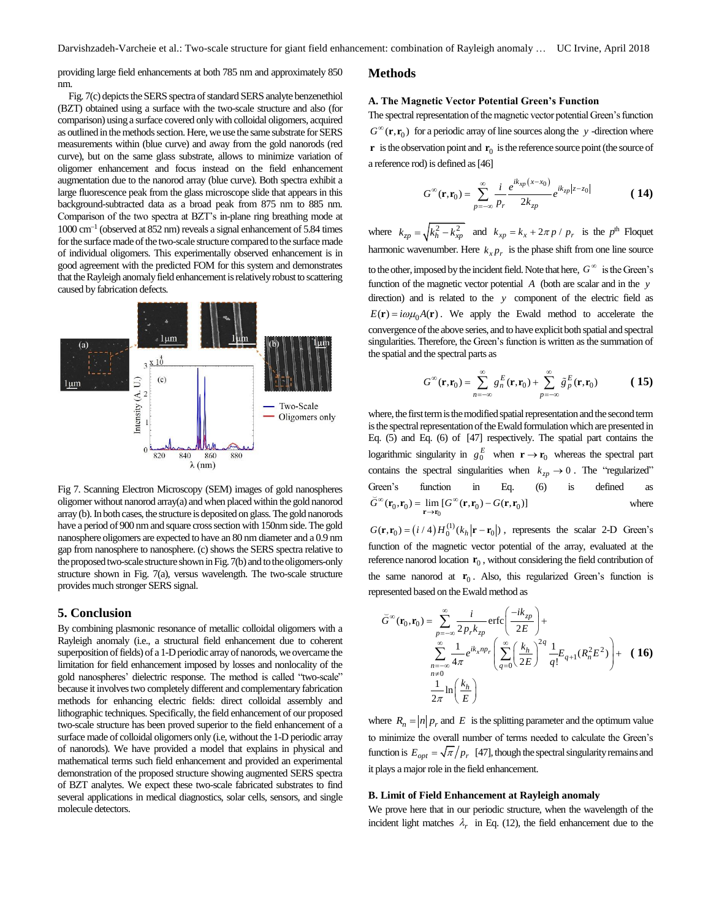providing large field enhancements at both 785 nm and approximately 850 nm.

Fig. 7(c) depicts the SERS spectra of standard SERS analyte benzenethiol (BZT) obtained using a surface with the two-scale structure and also (for comparison) using a surface covered only with colloidal oligomers, acquired as outlined in the methods section. Here, we use the same substrate for SERS measurements within (blue curve) and away from the gold nanorods (red curve), but on the same glass substrate, allows to minimize variation of oligomer enhancement and focus instead on the field enhancement augmentation due to the nanorod array (blue curve). Both spectra exhibit a large fluorescence peak from the glass microscope slide that appears in this background-subtracted data as a broad peak from 875 nm to 885 nm. Comparison of the two spectra at BZT's in-plane ring breathing mode at 1000 cm<sup>-1</sup> (observed at 852 nm) reveals a signal enhancement of 5.84 times for the surface made of the two-scale structure compared to the surface made of individual oligomers. This experimentally observed enhancement is in good agreement with the predicted FOM for this system and demonstrates that the Rayleigh anomaly field enhancement is relatively robust to scattering caused by fabrication defects.



Fig 7. Scanning Electron Microscopy (SEM) images of gold nanospheres oligomer without nanorod array(a) and when placed within the gold nanorod array (b). In both cases, the structure is deposited on glass. The gold nanorods have a period of 900 nm and square cross section with 150nm side. The gold nanosphere oligomers are expected to have an 80 nm diameter and a 0.9 nm gap from nanosphere to nanosphere. (c) shows the SERS spectra relative to the proposed two-scale structure shown in Fig. 7(b) and to the oligomers-only structure shown in Fig. 7(a), versus wavelength. The two-scale structure provides much stronger SERS signal.

# **5. Conclusion**

By combining plasmonic resonance of metallic colloidal oligomers with a Rayleigh anomaly (i.e., a structural field enhancement due to coherent superposition of fields) of a 1-D periodic array of nanorods, we overcame the limitation for field enhancement imposed by losses and nonlocality of the gold nanospheres' dielectric response. The method is called "two-scale" because it involves two completely different and complementary fabrication methods for enhancing electric fields: direct colloidal assembly and lithographic techniques. Specifically, the field enhancement of our proposed two-scale structure has been proved superior to the field enhancement of a surface made of colloidal oligomers only (i.e, without the 1-D periodic array of nanorods). We have provided a model that explains in physical and mathematical terms such field enhancement and provided an experimental demonstration of the proposed structure showing augmented SERS spectra of BZT analytes. We expect these two-scale fabricated substrates to find several applications in medical diagnostics, solar cells, sensors, and single molecule detectors.

#### **Methods**

#### **A. The Magnetic Vector Potential Green's Function**

The spectral representation of the magnetic vector potential Green's function  $G^{\infty}(\mathbf{r}, \mathbf{r}_0)$  for a periodic array of line sources along the y -direction where **r** is the observation point and  $\mathbf{r}_0$  is the reference source point (the source of a reference rod) is defined as[46]

$$
G^{\infty}(\mathbf{r}, \mathbf{r}_{0}) = \sum_{p=-\infty}^{\infty} \frac{i}{p_{r}} \frac{e^{ik_{xp}(x-x_{0})}}{2k_{zp}} e^{ik_{zp}|z-z_{0}|}
$$
(14)

where  $k_{zp} = \sqrt{k_h^2 - k_{xp}^2}$  and  $k_{xp} = k_x + 2\pi p / p_r$  is the *p*<sup>th</sup> Floquet harmonic wavenumber. Here  $k_x p_x$  is the phase shift from one line source to the other, imposed by the incident field. Note that here,  $G^{\infty}$  is the Green's function of the magnetic vector potential A (both are scalar and in the y direction) and is related to the *y* component of the electric field as  $E(\mathbf{r}) = i\omega\mu_0 A(\mathbf{r})$ . We apply the Ewald method to accelerate the convergence of the above series, and to have explicit both spatial and spectral singularities. Therefore, the Green's function is written as the summation of the spatial and the spectral parts as

$$
G^{\infty}(\mathbf{r}, \mathbf{r}_0) = \sum_{n=-\infty}^{\infty} g_n^E(\mathbf{r}, \mathbf{r}_0) + \sum_{p=-\infty}^{\infty} \tilde{g}_p^E(\mathbf{r}, \mathbf{r}_0)
$$
 (15)

where, the first termis the modified spatial representation and the second term is the spectral representation of the Ewald formulation which are presented in Eq. (5) and Eq. (6) of [47] respectively. The spatial part contains the logarithmic singularity in  $g_0^E$  when  $\mathbf{r} \to \mathbf{r}_0$  whereas the spectral part contains the spectral singularities when  $k_{zp} \rightarrow 0$ . The "regularized" Green's function in Eq. (6) is defined as  $\widetilde{G}^{\infty}(\mathbf{r}_0, \mathbf{r}_0) = \lim_{\mathbf{r} \to \mathbf{r}_0} [G^{\infty}(\mathbf{r}, \mathbf{r}_0) - G(\mathbf{r}, \mathbf{r}_0)]$ =  $\lim_{r \to r_0} [G^{\infty}(r,r_0) - G(s)]$ where

 $G(\mathbf{r}, \mathbf{r}_0) = (i/4)H_0^{(1)}(k_h|\mathbf{r} - \mathbf{r}_0)$ , represents the scalar 2-D Green's function of the magnetic vector potential of the array, evaluated at the reference nanorod location  $\mathbf{r}_0$ , without considering the field contribution of the same nanorod at  $r_0$ . Also, this regularized Green's function is represented based on the Ewald method as

$$
\vec{G}^{\infty}(\mathbf{r}_{0}, \mathbf{r}_{0}) = \sum_{p=-\infty}^{\infty} \frac{i}{2p_{r}k_{zp}} \text{erfc}\left(\frac{-ik_{zp}}{2E}\right) + \sum_{\substack{n=-\infty \\ n \neq 0}}^{\infty} \frac{1}{4\pi} e^{ik_{x}np_{r}} \left(\sum_{q=0}^{\infty} \left(\frac{k_{h}}{2E}\right)^{2q} \frac{1}{q!} E_{q+1}(R_{n}^{2} E^{2})\right) + (16)
$$
\n
$$
\frac{1}{2\pi} \ln\left(\frac{k_{h}}{E}\right)
$$

where  $R_n = |n| p_r$  and E is the splitting parameter and the optimum value to minimize the overall number of terms needed to calculate the Green's function is  $E_{opt} = \sqrt{\pi}/p_r$  [47], though the spectral singularity remains and it plays a major role in the field enhancement.

#### **B. Limit of Field Enhancement at Rayleigh anomaly**

We prove here that in our periodic structure, when the wavelength of the incident light matches  $\lambda_r$  in Eq. (12), the field enhancement due to the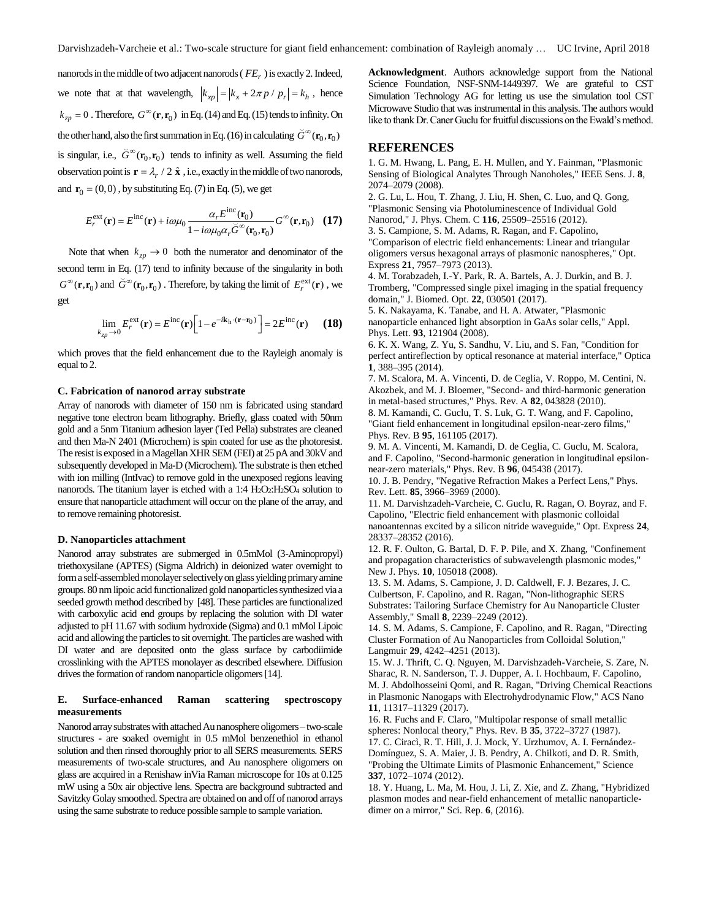nanorods in the middle of two adjacent nanorods ( $FE<sub>r</sub>$ ) is exactly 2. Indeed, we note that at that wavelength,  $\left| k_{xp} \right| = \left| k_x + 2\pi p / p_r \right| = k_h$ , hence  $k_{zp} = 0$ . Therefore,  $G^{\infty}(\mathbf{r}, \mathbf{r}_0)$  in Eq. (14) and Eq. (15) tends to infinity. On the other hand, also the first summation in Eq. (16) in calculating  $\breve{G}^{\infty}(\mathbf{r}_0,\mathbf{r}_0)$ is singular, i.e.,  $\check{G}^{\infty}(\mathbf{r}_0, \mathbf{r}_0)$  tends to infinity as well. Assuming the field observation point is  $\mathbf{r} = \lambda_r / 2 \hat{\mathbf{x}}$ , i.e., exactly in the middle of two nanorods, and  $\mathbf{r}_0 = (0,0)$ , by substituting Eq. (7) in Eq. (5), we get

$$
E_r^{\text{ext}}(\mathbf{r}) = E^{\text{inc}}(\mathbf{r}) + i\omega\mu_0 \frac{\alpha_r E^{\text{inc}}(\mathbf{r}_0)}{1 - i\omega\mu_0 \alpha_r \tilde{G}^{\infty}(\mathbf{r}_0, \mathbf{r}_0)} G^{\infty}(\mathbf{r}, \mathbf{r}_0)
$$
 (17)

Note that when  $k_{zp} \rightarrow 0$  both the numerator and denominator of the second term in Eq. (17) tend to infinity because of the singularity in both  $G^{\infty}(\mathbf{r}, \mathbf{r}_0)$  and  $\widetilde{G}^{\infty}(\mathbf{r}_0, \mathbf{r}_0)$ . Therefore, by taking the limit of  $E_r^{\text{ext}}(\mathbf{r})$ , we get

$$
\lim_{k_{\text{ZP}} \to 0} E_r^{\text{ext}}(\mathbf{r}) = E^{\text{inc}}(\mathbf{r}) \Big[ 1 - e^{-i\mathbf{k}_{\text{h}} \cdot (\mathbf{r} - \mathbf{r}_0)} \Big] = 2E^{\text{inc}}(\mathbf{r}) \qquad (18)
$$

which proves that the field enhancement due to the Rayleigh anomaly is equal to 2.

#### **C. Fabrication of nanorod array substrate**

Array of nanorods with diameter of 150 nm is fabricated using standard negative tone electron beam lithography. Briefly, glass coated with 50nm gold and a 5nm Titanium adhesion layer (Ted Pella) substrates are cleaned and then Ma-N 2401 (Microchem) is spin coated for use as the photoresist. The resist is exposed in a Magellan XHR SEM (FEI) at 25 pA and 30kV and subsequently developed in Ma-D (Microchem). The substrate is then etched with ion milling (IntIvac) to remove gold in the unexposed regions leaving nanorods. The titanium layer is etched with a 1:4 H2O2:H2SO<sup>4</sup> solution to ensure that nanoparticle attachment will occur on the plane of the array, and to remove remaining photoresist.

#### **D. Nanoparticles attachment**

Nanorod array substrates are submerged in 0.5mMol (3-Aminopropyl) triethoxysilane (APTES) (Sigma Aldrich) in deionized water overnight to form a self-assembled monolayer selectively on glass yielding primary amine groups. 80 nm lipoic acid functionalized gold nanoparticles synthesized via a seeded growth method described by [48]. These particles are functionalized with carboxylic acid end groups by replacing the solution with DI water adjusted to pH 11.67 with sodium hydroxide (Sigma) and 0.1 mMol Lipoic acid and allowing the particles to sit overnight. The particles are washed with DI water and are deposited onto the glass surface by carbodiimide crosslinking with the APTES monolayer as described elsewhere. Diffusion drives the formation of random nanoparticle oligomers[14].

#### **E. Surface-enhanced Raman scattering spectroscopy measurements**

Nanorod array substrates with attached Au nanosphere oligomers –two-scale structures - are soaked overnight in 0.5 mMol benzenethiol in ethanol solution and then rinsed thoroughly prior to all SERS measurements. SERS measurements of two-scale structures, and Au nanosphere oligomers on glass are acquired in a Renishaw inVia Raman microscope for 10s at 0.125 mW using a 50x air objective lens. Spectra are background subtracted and Savitzky Golay smoothed. Spectra are obtained on and off of nanorod arrays using the same substrate to reduce possible sample to sample variation.

**Acknowledgment**. Authors acknowledge support from the National Science Foundation, NSF-SNM-1449397. We are grateful to CST Simulation Technology AG for letting us use the simulation tool CST Microwave Studio that was instrumental in this analysis. The authors would like to thank Dr. Caner Guclu for fruitful discussions on the Ewald's method.

## **REFERENCES**

1. G. M. Hwang, L. Pang, E. H. Mullen, and Y. Fainman, "Plasmonic Sensing of Biological Analytes Through Nanoholes," IEEE Sens. J. **8**, 2074–2079 (2008).

2. G. Lu, L. Hou, T. Zhang, J. Liu, H. Shen, C. Luo, and Q. Gong, "Plasmonic Sensing via Photoluminescence of Individual Gold Nanorod," J. Phys. Chem. C **116**, 25509–25516 (2012).

3. S. Campione, S. M. Adams, R. Ragan, and F. Capolino,

"Comparison of electric field enhancements: Linear and triangular oligomers versus hexagonal arrays of plasmonic nanospheres," Opt. Express **21**, 7957–7973 (2013).

4. M. Torabzadeh, I.-Y. Park, R. A. Bartels, A. J. Durkin, and B. J. Tromberg, "Compressed single pixel imaging in the spatial frequency domain," J. Biomed. Opt. **22**, 030501 (2017).

5. K. Nakayama, K. Tanabe, and H. A. Atwater, "Plasmonic nanoparticle enhanced light absorption in GaAs solar cells," Appl. Phys. Lett. **93**, 121904 (2008).

6. K. X. Wang, Z. Yu, S. Sandhu, V. Liu, and S. Fan, "Condition for perfect antireflection by optical resonance at material interface," Optica **1**, 388–395 (2014).

7. M. Scalora, M. A. Vincenti, D. de Ceglia, V. Roppo, M. Centini, N. Akozbek, and M. J. Bloemer, "Second- and third-harmonic generation in metal-based structures," Phys. Rev. A **82**, 043828 (2010).

8. M. Kamandi, C. Guclu, T. S. Luk, G. T. Wang, and F. Capolino, "Giant field enhancement in longitudinal epsilon-near-zero films," Phys. Rev. B **95**, 161105 (2017).

9. M. A. Vincenti, M. Kamandi, D. de Ceglia, C. Guclu, M. Scalora, and F. Capolino, "Second-harmonic generation in longitudinal epsilonnear-zero materials," Phys. Rev. B **96**, 045438 (2017).

10. J. B. Pendry, "Negative Refraction Makes a Perfect Lens," Phys. Rev. Lett. **85**, 3966–3969 (2000).

11. M. Darvishzadeh-Varcheie, C. Guclu, R. Ragan, O. Boyraz, and F. Capolino, "Electric field enhancement with plasmonic colloidal nanoantennas excited by a silicon nitride waveguide," Opt. Express **24**, 28337–28352 (2016).

12. R. F. Oulton, G. Bartal, D. F. P. Pile, and X. Zhang, "Confinement and propagation characteristics of subwavelength plasmonic modes," New J. Phys. **10**, 105018 (2008).

13. S. M. Adams, S. Campione, J. D. Caldwell, F. J. Bezares, J. C. Culbertson, F. Capolino, and R. Ragan, "Non-lithographic SERS Substrates: Tailoring Surface Chemistry for Au Nanoparticle Cluster Assembly," Small **8**, 2239–2249 (2012).

14. S. M. Adams, S. Campione, F. Capolino, and R. Ragan, "Directing Cluster Formation of Au Nanoparticles from Colloidal Solution," Langmuir **29**, 4242–4251 (2013).

15. W. J. Thrift, C. Q. Nguyen, M. Darvishzadeh-Varcheie, S. Zare, N. Sharac, R. N. Sanderson, T. J. Dupper, A. I. Hochbaum, F. Capolino, M. J. Abdolhosseini Qomi, and R. Ragan, "Driving Chemical Reactions in Plasmonic Nanogaps with Electrohydrodynamic Flow," ACS Nano **11**, 11317–11329 (2017).

16. R. Fuchs and F. Claro, "Multipolar response of small metallic spheres: Nonlocal theory," Phys. Rev. B **35**, 3722–3727 (1987). 17. C. Ciracì, R. T. Hill, J. J. Mock, Y. Urzhumov, A. I. Fernández-Domínguez, S. A. Maier, J. B. Pendry, A. Chilkoti, and D. R. Smith,

"Probing the Ultimate Limits of Plasmonic Enhancement," Science **337**, 1072–1074 (2012).

18. Y. Huang, L. Ma, M. Hou, J. Li, Z. Xie, and Z. Zhang, "Hybridized plasmon modes and near-field enhancement of metallic nanoparticledimer on a mirror," Sci. Rep. **6**, (2016).